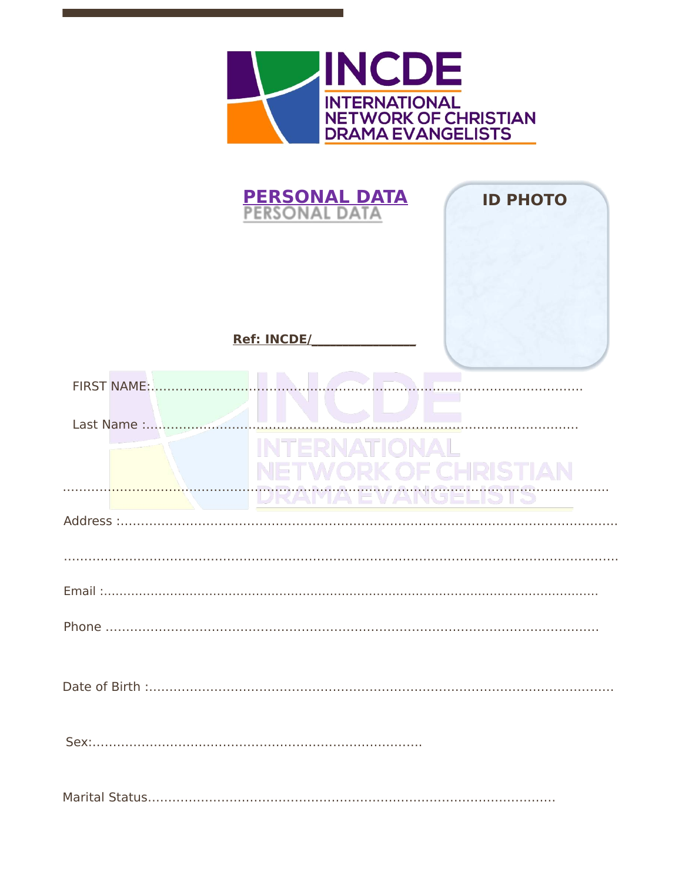

| <b>PERSONAL DATA</b><br>PERSONAL DATA<br><b>ID PHOTO</b> |  |
|----------------------------------------------------------|--|
| <b>Ref: INCDE/</b>                                       |  |
| <b>FIRST NAME:</b>                                       |  |
| Last Name :                                              |  |
|                                                          |  |
| Address :                                                |  |
|                                                          |  |
|                                                          |  |
|                                                          |  |
|                                                          |  |
|                                                          |  |
|                                                          |  |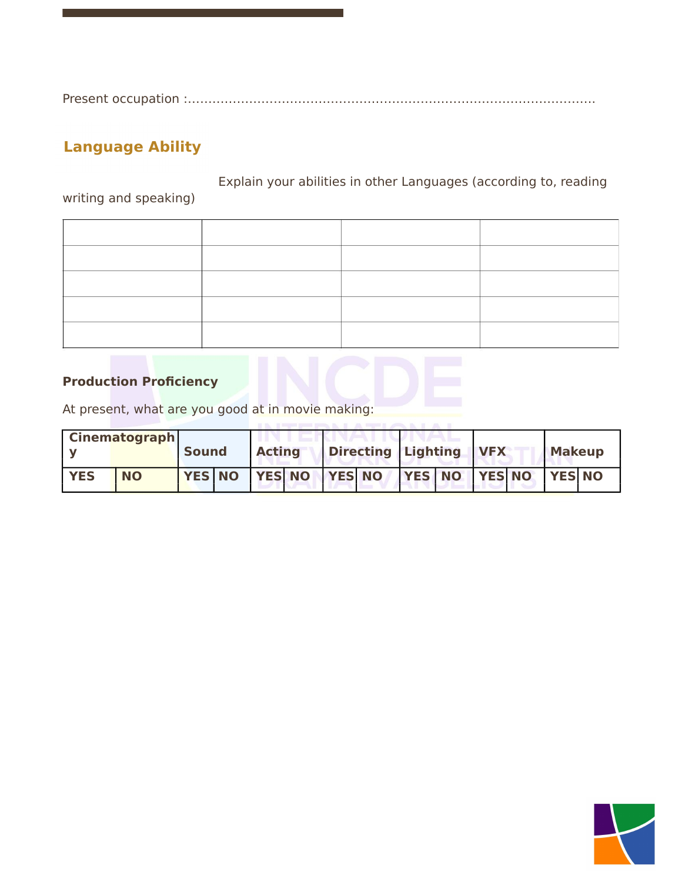Present occupation :……………………………………………………………………………………….

## **Language Ability**

Explain your abilities in other Languages (according to, reading writing and speaking)

## **Production Proficiency**

At present, what are you good at in movie making:

|            | <b>Cinematograph</b> |              |               |  |                                    |  |            |               |  |
|------------|----------------------|--------------|---------------|--|------------------------------------|--|------------|---------------|--|
|            |                      | <b>Sound</b> | <b>Acting</b> |  | Directing Lighting                 |  | <b>VFX</b> | <b>Makeup</b> |  |
| <b>YES</b> | <b>NO</b>            |              |               |  | YES NO YES NO YES NO YES NO YES NO |  |            | <b>YES NO</b> |  |

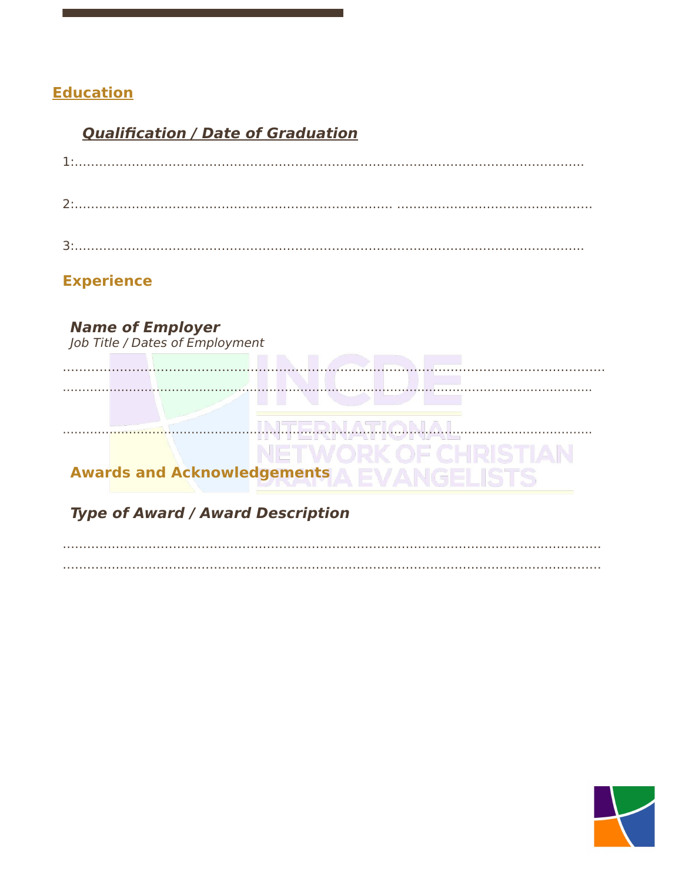## **Education**

## **Qualification / Date of Graduation**

## **Experience**

**Name of Employer**<br>Job Title / Dates of Employment  $1.1.17$ ATIONAL. .H.R.I.N. . . . . . . . . AN **Awards and Acknowledgements Type of Award / Award Description** 

# 

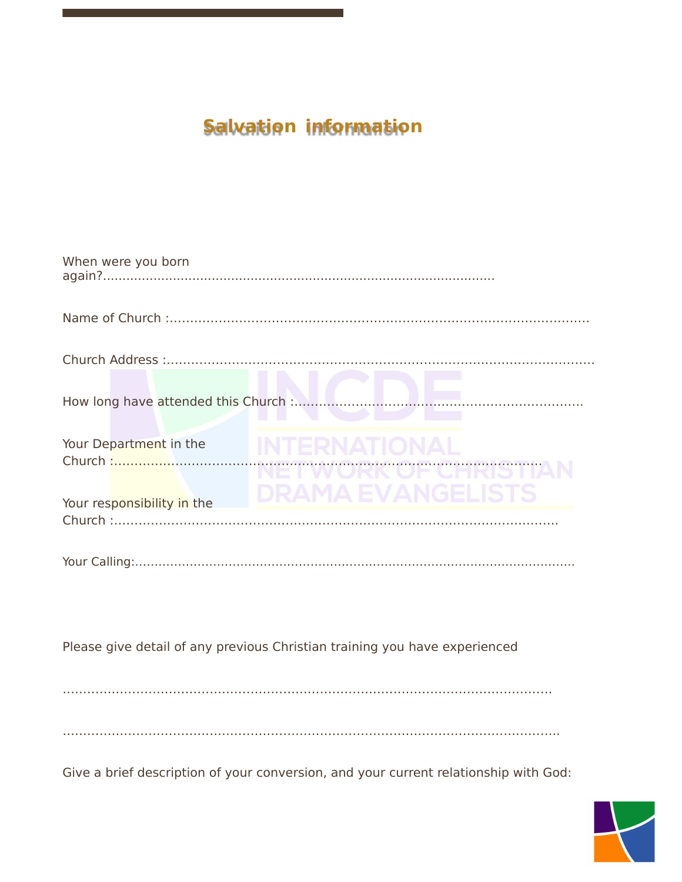# **Salvation information**

| When were you born         |                          |
|----------------------------|--------------------------|
|                            |                          |
|                            |                          |
|                            |                          |
| Your Department in the     | <b>DRAMA EVANGELISTS</b> |
| Your responsibility in the |                          |
|                            |                          |
|                            |                          |

Please give detail of any previous Christian training you have experienced

…………………………………………………………………………………………………………

…………………………………………………………………………………………………………..

Give a brief description of your conversion, and your current relationship with God:

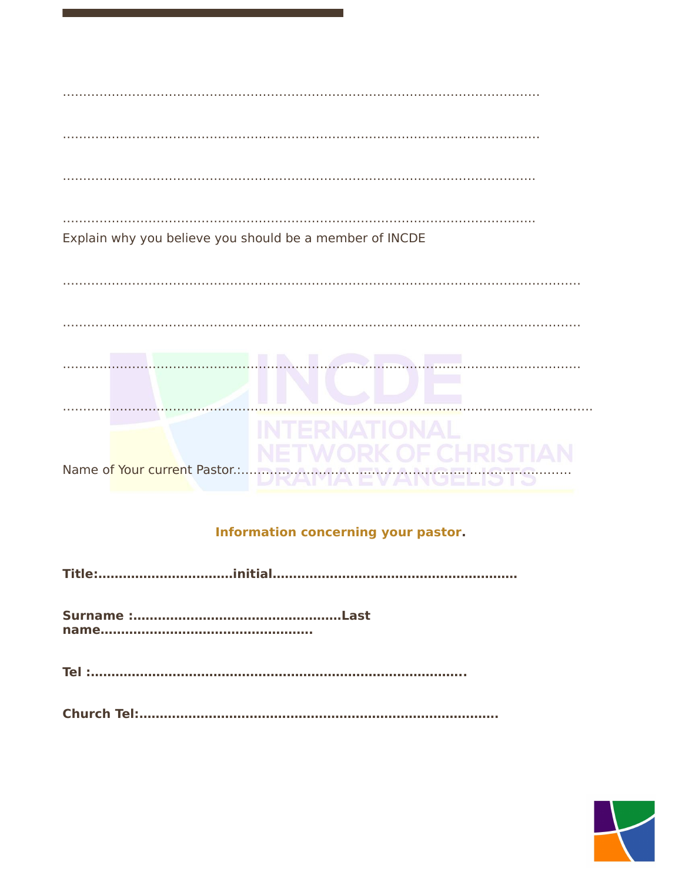## Information concerning your pastor.

|--|--|

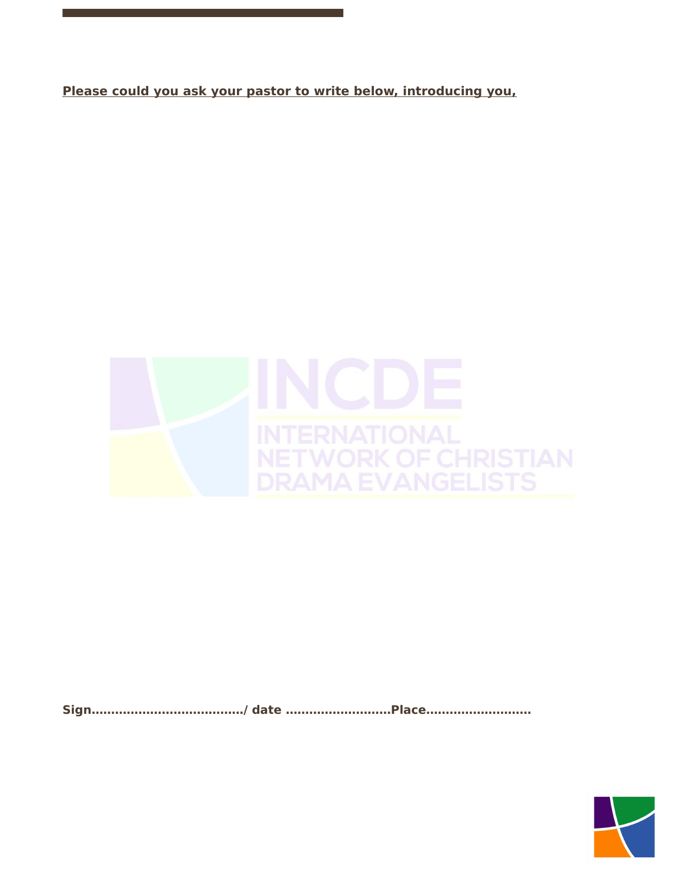**Please could you ask your pastor to write below, introducing you,**



**Sign…………………………………/ date ………………………Place………………………**